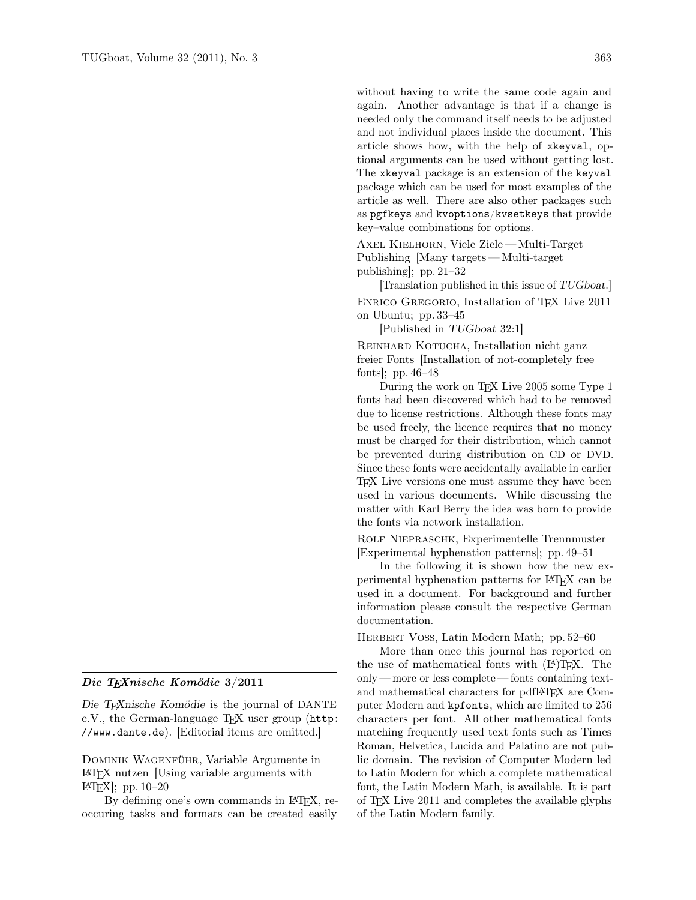without having to write the same code again and again. Another advantage is that if a change is needed only the command itself needs to be adjusted and not individual places inside the document. This article shows how, with the help of xkeyval, optional arguments can be used without getting lost. The xkeyval package is an extension of the keyval package which can be used for most examples of the article as well. There are also other packages such as pgfkeys and kvoptions/kvsetkeys that provide key–value combinations for options.

Axel Kielhorn, Viele Ziele— Multi-Target Publishing [Many targets— Multi-target publishing]; pp. 21–32

[Translation published in this issue of TUGboat.] ENRICO GREGORIO, Installation of TFX Live 2011 on Ubuntu; pp. 33–45

[Published in TUGboat 32:1]

REINHARD KOTUCHA, Installation nicht ganz freier Fonts [Installation of not-completely free fonts]; pp. 46–48

During the work on T<sub>EX</sub> Live 2005 some Type 1 fonts had been discovered which had to be removed due to license restrictions. Although these fonts may be used freely, the licence requires that no money must be charged for their distribution, which cannot be prevented during distribution on CD or DVD. Since these fonts were accidentally available in earlier TEX Live versions one must assume they have been used in various documents. While discussing the matter with Karl Berry the idea was born to provide the fonts via network installation.

Rolf Niepraschk, Experimentelle Trennmuster [Experimental hyphenation patterns]; pp. 49–51

In the following it is shown how the new experimental hyphenation patterns for LATEX can be used in a document. For background and further information please consult the respective German documentation.

HERBERT VOSS, Latin Modern Math; pp. 52–60

More than once this journal has reported on the use of mathematical fonts with (LA)TEX. The only — more or less complete — fonts containing textand mathematical characters for pdfL<sup>AT</sup>FX are Computer Modern and kpfonts, which are limited to 256 characters per font. All other mathematical fonts matching frequently used text fonts such as Times Roman, Helvetica, Lucida and Palatino are not public domain. The revision of Computer Modern led to Latin Modern for which a complete mathematical font, the Latin Modern Math, is available. It is part of TEX Live 2011 and completes the available glyphs of the Latin Modern family.

## Die TEXnische Komödie 3/2011

Die TEXnische Komödie is the journal of DANTE e.V., the German-language T<sub>F</sub>X user group (http: //www.dante.de). [Editorial items are omitted.]

Dominik Wagenführ, Variable Argumente in LATEX nutzen [Using variable arguments with  $\text{[ATEX]}$ ; pp. 10–20

By defining one's own commands in L<sup>AT</sup>FX, reoccuring tasks and formats can be created easily